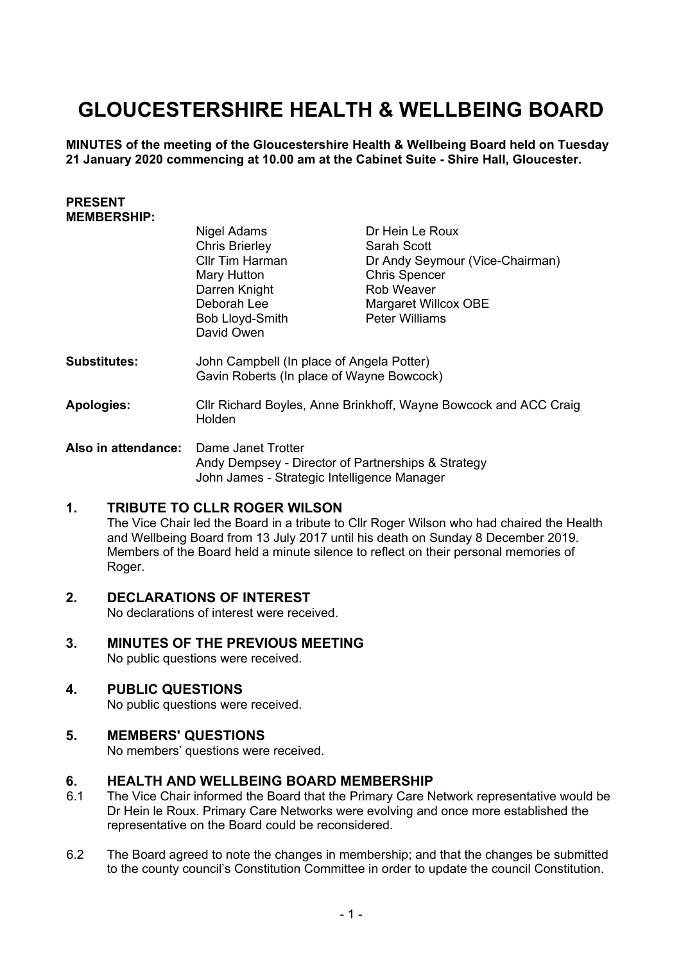# **GLOUCESTERSHIRE HEALTH & WELLBEING BOARD**

**MINUTES of the meeting of the Gloucestershire Health & Wellbeing Board held on Tuesday 21 January 2020 commencing at 10.00 am at the Cabinet Suite - Shire Hall, Gloucester.**

#### **PRESENT MEMBERSHIP:**

|                     | Nigel Adams                                                                                                             | Dr Hein Le Roux                 |
|---------------------|-------------------------------------------------------------------------------------------------------------------------|---------------------------------|
|                     | <b>Chris Brierley</b>                                                                                                   | Sarah Scott                     |
|                     | Cllr Tim Harman                                                                                                         | Dr Andy Seymour (Vice-Chairman) |
|                     | Mary Hutton                                                                                                             | <b>Chris Spencer</b>            |
|                     | Darren Knight                                                                                                           | Rob Weaver                      |
|                     | Deborah Lee                                                                                                             | Margaret Willcox OBE            |
|                     | Bob Lloyd-Smith<br>David Owen                                                                                           | <b>Peter Williams</b>           |
| <b>Substitutes:</b> | John Campbell (In place of Angela Potter)<br>Gavin Roberts (In place of Wayne Bowcock)                                  |                                 |
| <b>Apologies:</b>   | Cllr Richard Boyles, Anne Brinkhoff, Wayne Bowcock and ACC Craig<br>Holden                                              |                                 |
| Also in attendance: | Dame Janet Trotter<br>Andy Dempsey - Director of Partnerships & Strategy<br>John James - Strategic Intelligence Manager |                                 |

#### **1. TRIBUTE TO CLLR ROGER WILSON**

The Vice Chair led the Board in a tribute to Cllr Roger Wilson who had chaired the Health and Wellbeing Board from 13 July 2017 until his death on Sunday 8 December 2019. Members of the Board held a minute silence to reflect on their personal memories of Roger.

#### **2. DECLARATIONS OF INTEREST**

No declarations of interest were received.

## **3. MINUTES OF THE PREVIOUS MEETING**

No public questions were received.

#### **4. PUBLIC QUESTIONS**

No public questions were received.

#### **5. MEMBERS' QUESTIONS**

No members' questions were received.

#### **6. HEALTH AND WELLBEING BOARD MEMBERSHIP**

- 6.1 The Vice Chair informed the Board that the Primary Care Network representative would be Dr Hein le Roux. Primary Care Networks were evolving and once more established the representative on the Board could be reconsidered.
- 6.2 The Board agreed to note the changes in membership; and that the changes be submitted to the county council's Constitution Committee in order to update the council Constitution.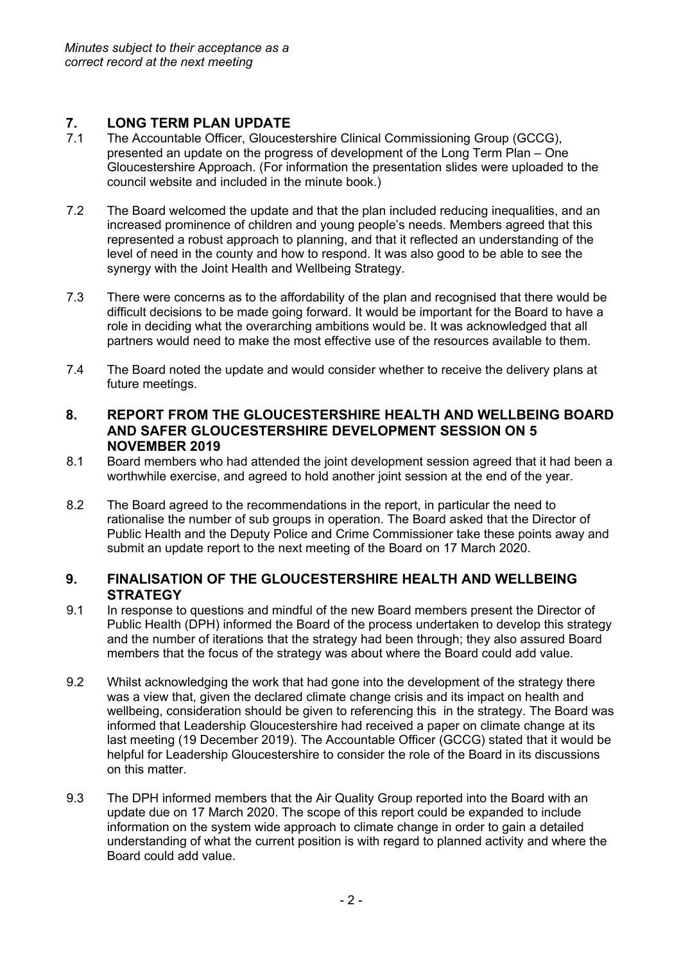### **7. LONG TERM PLAN UPDATE**

- 7.1 The Accountable Officer, Gloucestershire Clinical Commissioning Group (GCCG), presented an update on the progress of development of the Long Term Plan – One Gloucestershire Approach. (For information the presentation slides were uploaded to the council website and included in the minute book.)
- 7.2 The Board welcomed the update and that the plan included reducing inequalities, and an increased prominence of children and young people's needs. Members agreed that this represented a robust approach to planning, and that it reflected an understanding of the level of need in the county and how to respond. It was also good to be able to see the synergy with the Joint Health and Wellbeing Strategy.
- 7.3 There were concerns as to the affordability of the plan and recognised that there would be difficult decisions to be made going forward. It would be important for the Board to have a role in deciding what the overarching ambitions would be. It was acknowledged that all partners would need to make the most effective use of the resources available to them.
- 7.4 The Board noted the update and would consider whether to receive the delivery plans at future meetings.

#### **8. REPORT FROM THE GLOUCESTERSHIRE HEALTH AND WELLBEING BOARD AND SAFER GLOUCESTERSHIRE DEVELOPMENT SESSION ON 5 NOVEMBER 2019**

- 8.1 Board members who had attended the joint development session agreed that it had been a worthwhile exercise, and agreed to hold another joint session at the end of the year.
- 8.2 The Board agreed to the recommendations in the report, in particular the need to rationalise the number of sub groups in operation. The Board asked that the Director of Public Health and the Deputy Police and Crime Commissioner take these points away and submit an update report to the next meeting of the Board on 17 March 2020.

#### **9. FINALISATION OF THE GLOUCESTERSHIRE HEALTH AND WELLBEING STRATEGY**

- 9.1 In response to questions and mindful of the new Board members present the Director of Public Health (DPH) informed the Board of the process undertaken to develop this strategy and the number of iterations that the strategy had been through; they also assured Board members that the focus of the strategy was about where the Board could add value.
- 9.2 Whilst acknowledging the work that had gone into the development of the strategy there was a view that, given the declared climate change crisis and its impact on health and wellbeing, consideration should be given to referencing this in the strategy. The Board was informed that Leadership Gloucestershire had received a paper on climate change at its last meeting (19 December 2019). The Accountable Officer (GCCG) stated that it would be helpful for Leadership Gloucestershire to consider the role of the Board in its discussions on this matter.
- 9.3 The DPH informed members that the Air Quality Group reported into the Board with an update due on 17 March 2020. The scope of this report could be expanded to include information on the system wide approach to climate change in order to gain a detailed understanding of what the current position is with regard to planned activity and where the Board could add value.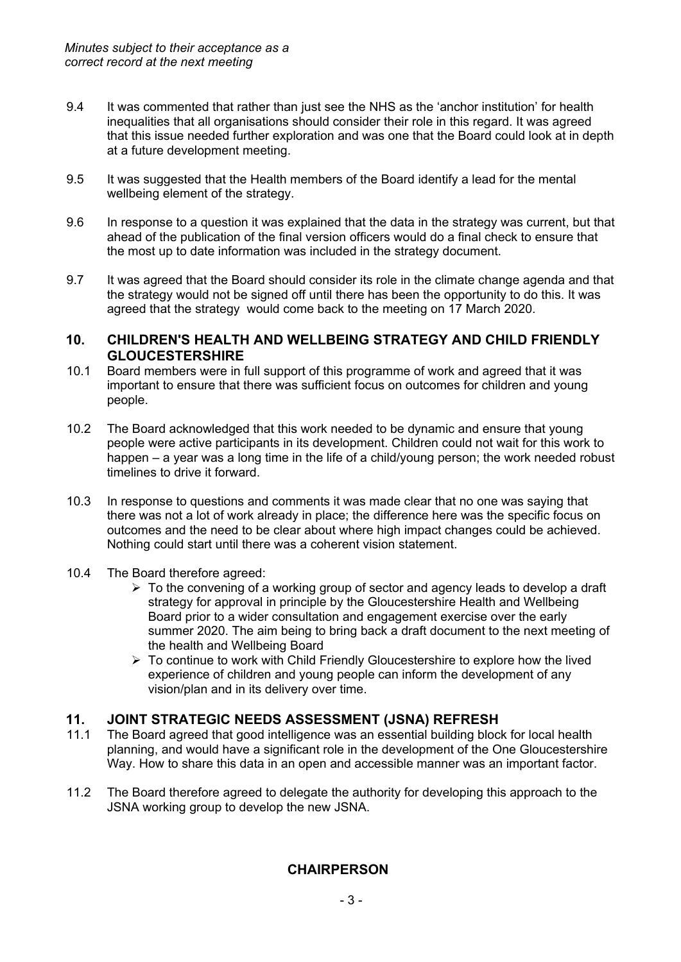- 9.4 It was commented that rather than just see the NHS as the 'anchor institution' for health inequalities that all organisations should consider their role in this regard. It was agreed that this issue needed further exploration and was one that the Board could look at in depth at a future development meeting.
- 9.5 It was suggested that the Health members of the Board identify a lead for the mental wellbeing element of the strategy.
- 9.6 In response to a question it was explained that the data in the strategy was current, but that ahead of the publication of the final version officers would do a final check to ensure that the most up to date information was included in the strategy document.
- 9.7 It was agreed that the Board should consider its role in the climate change agenda and that the strategy would not be signed off until there has been the opportunity to do this. It was agreed that the strategy would come back to the meeting on 17 March 2020.

#### **10. CHILDREN'S HEALTH AND WELLBEING STRATEGY AND CHILD FRIENDLY GLOUCESTERSHIRE**

- 10.1 Board members were in full support of this programme of work and agreed that it was important to ensure that there was sufficient focus on outcomes for children and young people.
- 10.2 The Board acknowledged that this work needed to be dynamic and ensure that young people were active participants in its development. Children could not wait for this work to happen – a year was a long time in the life of a child/young person; the work needed robust timelines to drive it forward.
- 10.3 In response to questions and comments it was made clear that no one was saying that there was not a lot of work already in place; the difference here was the specific focus on outcomes and the need to be clear about where high impact changes could be achieved. Nothing could start until there was a coherent vision statement.
- 10.4 The Board therefore agreed:
	- $\triangleright$  To the convening of a working group of sector and agency leads to develop a draft strategy for approval in principle by the Gloucestershire Health and Wellbeing Board prior to a wider consultation and engagement exercise over the early summer 2020. The aim being to bring back a draft document to the next meeting of the health and Wellbeing Board
	- $\triangleright$  To continue to work with Child Friendly Gloucestershire to explore how the lived experience of children and young people can inform the development of any vision/plan and in its delivery over time.

### **11. JOINT STRATEGIC NEEDS ASSESSMENT (JSNA) REFRESH**

- 11.1 The Board agreed that good intelligence was an essential building block for local health planning, and would have a significant role in the development of the One Gloucestershire Way. How to share this data in an open and accessible manner was an important factor.
- 11.2 The Board therefore agreed to delegate the authority for developing this approach to the JSNA working group to develop the new JSNA.

### **CHAIRPERSON**